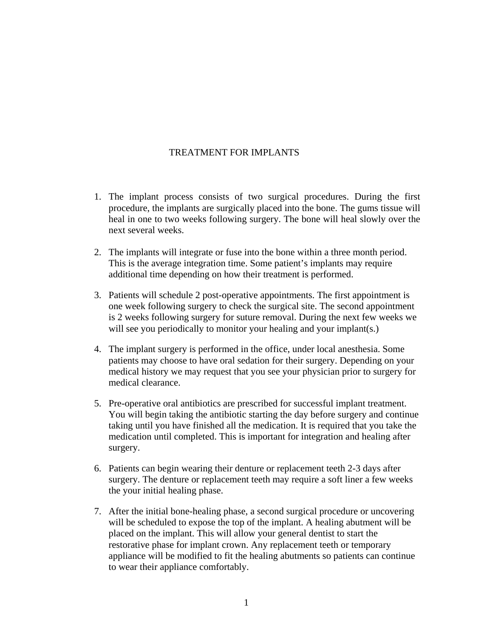## TREATMENT FOR IMPLANTS

- 1. The implant process consists of two surgical procedures. During the first procedure, the implants are surgically placed into the bone. The gums tissue will heal in one to two weeks following surgery. The bone will heal slowly over the next several weeks.
- 2. The implants will integrate or fuse into the bone within a three month period. This is the average integration time. Some patient's implants may require additional time depending on how their treatment is performed.
- 3. Patients will schedule 2 post-operative appointments. The first appointment is one week following surgery to check the surgical site. The second appointment is 2 weeks following surgery for suture removal. During the next few weeks we will see you periodically to monitor your healing and your implant(s.)
- 4. The implant surgery is performed in the office, under local anesthesia. Some patients may choose to have oral sedation for their surgery. Depending on your medical history we may request that you see your physician prior to surgery for medical clearance.
- 5. Pre-operative oral antibiotics are prescribed for successful implant treatment. You will begin taking the antibiotic starting the day before surgery and continue taking until you have finished all the medication. It is required that you take the medication until completed. This is important for integration and healing after surgery.
- 6. Patients can begin wearing their denture or replacement teeth 2-3 days after surgery. The denture or replacement teeth may require a soft liner a few weeks the your initial healing phase.
- 7. After the initial bone-healing phase, a second surgical procedure or uncovering will be scheduled to expose the top of the implant. A healing abutment will be placed on the implant. This will allow your general dentist to start the restorative phase for implant crown. Any replacement teeth or temporary appliance will be modified to fit the healing abutments so patients can continue to wear their appliance comfortably.